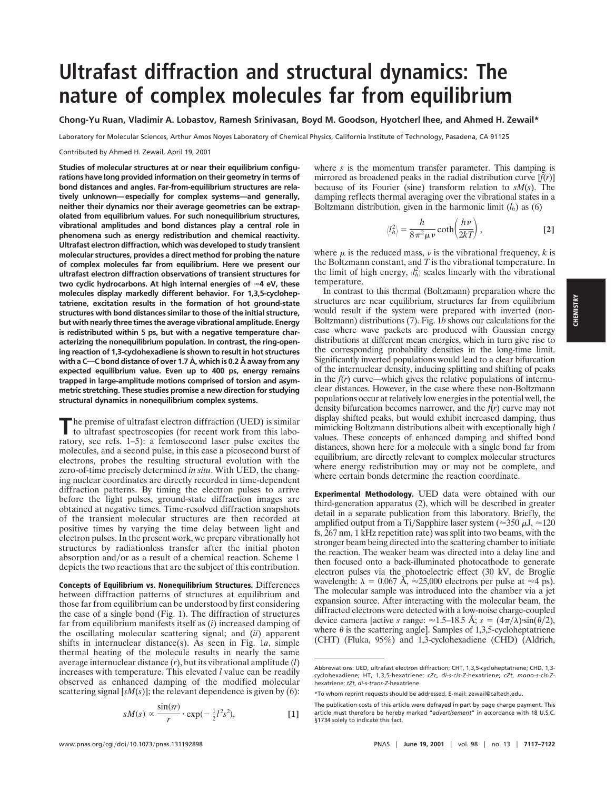## **Ultrafast diffraction and structural dynamics: The nature of complex molecules far from equilibrium**

**Chong-Yu Ruan, Vladimir A. Lobastov, Ramesh Srinivasan, Boyd M. Goodson, Hyotcherl Ihee, and Ahmed H. Zewail\***

Laboratory for Molecular Sciences, Arthur Amos Noyes Laboratory of Chemical Physics, California Institute of Technology, Pasadena, CA 91125

Contributed by Ahmed H. Zewail, April 19, 2001

**Studies of molecular structures at or near their equilibrium configurations have long provided information on their geometry in terms of bond distances and angles. Far-from-equilibrium structures are relatively unknown—especially for complex systems—and generally, neither their dynamics nor their average geometries can be extrapolated from equilibrium values. For such nonequilibrium structures, vibrational amplitudes and bond distances play a central role in phenomena such as energy redistribution and chemical reactivity. Ultrafast electron diffraction, which was developed to study transient molecular structures, provides a direct method for probing the nature of complex molecules far from equilibrium. Here we present our ultrafast electron diffraction observations of transient structures for two cyclic hydrocarbons. At high internal energies of** '**4 eV, these molecules display markedly different behavior. For 1,3,5-cycloheptatriene, excitation results in the formation of hot ground-state structures with bond distances similar to those of the initial structure, but with nearly three times the average vibrational amplitude. Energy is redistributed within 5 ps, but with a negative temperature characterizing the nonequilibrium population. In contrast, the ring-opening reaction of 1,3-cyclohexadiene is shown to result in hot structures** with a C—C bond distance of over 1.7 Å, which is 0.2 Å away from any **expected equilibrium value. Even up to 400 ps, energy remains trapped in large-amplitude motions comprised of torsion and asymmetric stretching. These studies promise a new direction for studying structural dynamics in nonequilibrium complex systems.**

The premise of ultrafast electron diffraction (UED) is similar<br>to ultrafast spectroscopies (for recent work from this laboratory, see refs. 1–5): a femtosecond laser pulse excites the molecules, and a second pulse, in this case a picosecond burst of electrons, probes the resulting structural evolution with the zero-of-time precisely determined *in situ*. With UED, the changing nuclear coordinates are directly recorded in time-dependent diffraction patterns. By timing the electron pulses to arrive before the light pulses, ground-state diffraction images are obtained at negative times. Time-resolved diffraction snapshots of the transient molecular structures are then recorded at positive times by varying the time delay between light and electron pulses. In the present work, we prepare vibrationally hot structures by radiationless transfer after the initial photon absorption and/or as a result of a chemical reaction. Scheme 1 depicts the two reactions that are the subject of this contribution.

**Concepts of Equilibrium vs. Nonequilibrium Structures.** Differences between diffraction patterns of structures at equilibrium and those far from equilibrium can be understood by first considering the case of a single bond (Fig. 1). The diffraction of structures far from equilibrium manifests itself as (*i*) increased damping of the oscillating molecular scattering signal; and (*ii*) apparent shifts in internuclear distance(s). As seen in Fig. 1*a*, simple thermal heating of the molecule results in nearly the same average internuclear distance (*r*), but its vibrational amplitude (*l*) increases with temperature. This elevated *l* value can be readily observed as enhanced damping of the modified molecular scattering signal  $[sM(s)]$ ; the relevant dependence is given by (6):

$$
sM(s) \propto \frac{\sin(sr)}{r} \cdot \exp(-\frac{1}{2}l^2s^2),
$$
 [1]

where *s* is the momentum transfer parameter. This damping is mirrored as broadened peaks in the radial distribution curve [*f*(*r*)] because of its Fourier (sine) transform relation to *sM*(*s*). The damping reflects thermal averaging over the vibrational states in a Boltzmann distribution, given in the harmonic limit  $(l_h)$  as  $(6)$ 

$$
\langle l_h^2 \rangle = \frac{h}{8\pi^2 \mu \nu} \coth\left(\frac{h\nu}{2kT}\right),
$$
 [2]

where  $\mu$  is the reduced mass,  $\nu$  is the vibrational frequency,  $k$  is the Boltzmann constant, and *T* is the vibrational temperature. In the limit of high energy,  $\langle l_h^2 \rangle$  scales linearly with the vibrational temperature.

In contrast to this thermal (Boltzmann) preparation where the structures are near equilibrium, structures far from equilibrium would result if the system were prepared with inverted (non-Boltzmann) distributions (7). Fig. 1*b* shows our calculations for the case where wave packets are produced with Gaussian energy distributions at different mean energies, which in turn give rise to the corresponding probability densities in the long-time limit. Significantly inverted populations would lead to a clear bifurcation of the internuclear density, inducing splitting and shifting of peaks in the *f*(*r*) curve—which gives the relative populations of internuclear distances. However, in the case where these non-Boltzmann populations occur at relatively low energies in the potential well, the density bifurcation becomes narrower, and the *f*(*r*) curve may not display shifted peaks, but would exhibit increased damping, thus mimicking Boltzmann distributions albeit with exceptionally high *l* values. These concepts of enhanced damping and shifted bond distances, shown here for a molecule with a single bond far from equilibrium, are directly relevant to complex molecular structures where energy redistribution may or may not be complete, and where certain bonds determine the reaction coordinate.

**Experimental Methodology.** UED data were obtained with our third-generation apparatus (2), which will be described in greater detail in a separate publication from this laboratory. Briefly, the amplified output from a Ti/Sapphire laser system ( $\approx$ 350  $\mu$ J,  $\approx$ 120 fs, 267 nm, 1 kHz repetition rate) was split into two beams, with the stronger beam being directed into the scattering chamber to initiate the reaction. The weaker beam was directed into a delay line and then focused onto a back-illuminated photocathode to generate electron pulses via the photoelectric effect (30 kV, de Broglie wavelength:  $\lambda = 0.067$  Å,  $\approx 25,000$  electrons per pulse at  $\approx 4$  ps). The molecular sample was introduced into the chamber via a jet expansion source. After interacting with the molecular beam, the diffracted electrons were detected with a low-noise charge-coupled device camera [active *s* range:  $\approx$ 1.5–18.5 Å; *s* =  $(4\pi/\lambda)\cdot\sin(\theta/2)$ , where  $\theta$  is the scattering angle]. Samples of 1,3,5-cycloheptatriene (CHT) (Fluka, 95%) and 1,3-cyclohexadiene (CHD) (Aldrich,

Abbreviations: UED, ultrafast electron diffraction; CHT, 1,3,5-cycloheptatriene; CHD, 1,3 cyclohexadiene; HT, 1,3,5-hexatriene; *cZc*, *di*-*s*-*cis*-*Z*-hexatriene; *cZt*, *mono*-*s*-*cis*-*Z*hexatriene; *tZt*, *di*-*s*-*trans*-*Z*-hexatriene.

<sup>\*</sup>To whom reprint requests should be addressed. E-mail: zewail@caltech.edu.

The publication costs of this article were defrayed in part by page charge payment. This article must therefore be hereby marked "*advertisement*" in accordance with 18 U.S.C. §1734 solely to indicate this fact.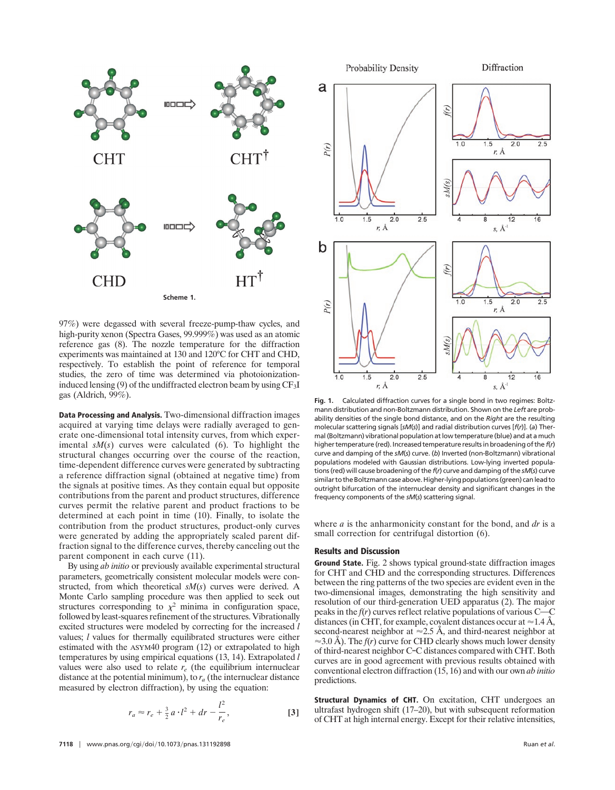

97%) were degassed with several freeze-pump-thaw cycles, and high-purity xenon (Spectra Gases, 99.999%) was used as an atomic reference gas (8). The nozzle temperature for the diffraction experiments was maintained at 130 and 120°C for CHT and CHD, respectively. To establish the point of reference for temporal studies, the zero of time was determined via photoionizationinduced lensing (9) of the undiffracted electron beam by using CF3I gas (Aldrich, 99%).

**Data Processing and Analysis.** Two-dimensional diffraction images acquired at varying time delays were radially averaged to generate one-dimensional total intensity curves, from which experimental *sM*(*s*) curves were calculated (6). To highlight the structural changes occurring over the course of the reaction, time-dependent difference curves were generated by subtracting a reference diffraction signal (obtained at negative time) from the signals at positive times. As they contain equal but opposite contributions from the parent and product structures, difference curves permit the relative parent and product fractions to be determined at each point in time (10). Finally, to isolate the contribution from the product structures, product-only curves were generated by adding the appropriately scaled parent diffraction signal to the difference curves, thereby canceling out the parent component in each curve (11).

By using *ab initio* or previously available experimental structural parameters, geometrically consistent molecular models were constructed, from which theoretical *sM*(*s*) curves were derived. A Monte Carlo sampling procedure was then applied to seek out structures corresponding to  $\chi^2$  minima in configuration space, followed by least-squares refinement of the structures. Vibrationally excited structures were modeled by correcting for the increased *l* values; *l* values for thermally equilibrated structures were either estimated with the ASYM40 program (12) or extrapolated to high temperatures by using empirical equations (13, 14). Extrapolated *l* values were also used to relate *re* (the equilibrium internuclear distance at the potential minimum), to  $r_a$  (the internuclear distance measured by electron diffraction), by using the equation:

$$
r_a \approx r_e + \frac{3}{2} a \cdot l^2 + dr - \frac{l^2}{r_e},
$$
 [3]



**Fig. 1.** Calculated diffraction curves for a single bond in two regimes: Boltzmann distribution and non-Boltzmann distribution. Shown on the *Left* are probability densities of the single bond distance, and on the *Right* are the resulting molecular scattering signals [*sM*(*s*)] and radial distribution curves [*f*(*r*)]. (*a*) Thermal (Boltzmann) vibrational population at low temperature (blue) and at a much higher temperature (red). Increased temperature results in broadening of the *f*(*r*) curve and damping of the *sM*(*s*) curve. (*b*) Inverted (non-Boltzmann) vibrational populations modeled with Gaussian distributions. Low-lying inverted populations (red) will cause broadening of the *f*(*r*) curve and damping of the *sM*(*s*) curve similar to the Boltzmann case above. Higher-lying populations (green) can lead to outright bifurcation of the internuclear density and significant changes in the frequency components of the *sM*(*s*) scattering signal.

where *a* is the anharmonicity constant for the bond, and *dr* is a small correction for centrifugal distortion (6).

## **Results and Discussion**

**Ground State.** Fig. 2 shows typical ground-state diffraction images for CHT and CHD and the corresponding structures. Differences between the ring patterns of the two species are evident even in the two-dimensional images, demonstrating the high sensitivity and resolution of our third-generation UED apparatus (2). The major peaks in the  $f(r)$  curves reflect relative populations of various C—C distances (in CHT, for example, covalent distances occur at  $\approx$  1.4 Å, second-nearest neighbor at  $\approx$  2.5 Å, and third-nearest neighbor at  $\approx$  3.0 Å). The *f*(*r*) curve for CHD clearly shows much lower density of third-nearest neighbor C·C distances compared with CHT. Both curves are in good agreement with previous results obtained with conventional electron diffraction (15, 16) and with our own *ab initio* predictions.

**Structural Dynamics of CHT.** On excitation, CHT undergoes an ultrafast hydrogen shift (17–20), but with subsequent reformation of CHT at high internal energy. Except for their relative intensities,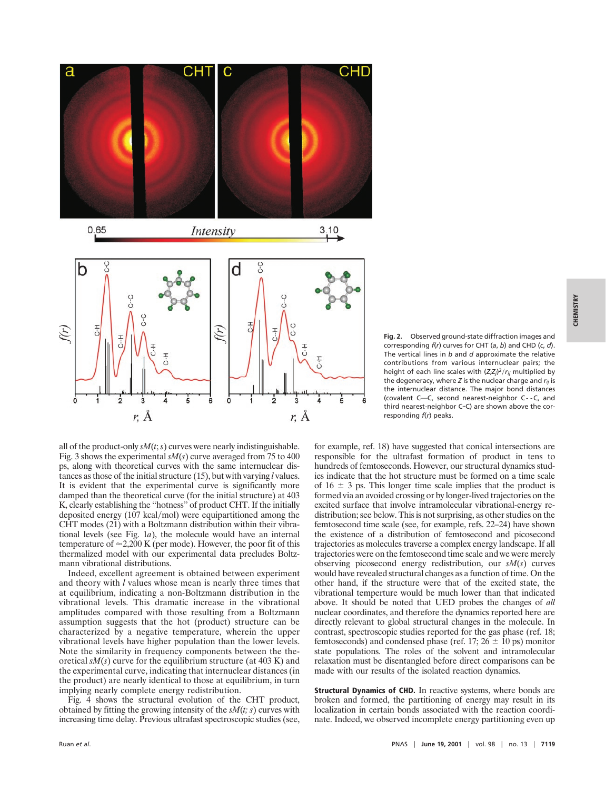

**Fig. 2.** Observed ground-state diffraction images and corresponding *f*(*r*) curves for CHT (*a*, *b*) and CHD (*c*, *d*). The vertical lines in *b* and *d* approximate the relative contributions from various internuclear pairs; the height of each line scales with  $(Z_iZ_j)^2/r_{ii}$  multiplied by the degeneracy, where *Z* is the nuclear charge and *rij* is the internuclear distance. The major bond distances (covalent C-C, second nearest-neighbor C--C, and third nearest-neighbor C-C) are shown above the corresponding *f*(*r*) peaks.

all of the product-only  $sM(t; s)$  curves were nearly indistinguishable. Fig. 3 shows the experimental *sM*(*s*) curve averaged from 75 to 400 ps, along with theoretical curves with the same internuclear distances as those of the initial structure (15), but with varying *l* values. It is evident that the experimental curve is significantly more damped than the theoretical curve (for the initial structure) at 403 K, clearly establishing the ''hotness'' of product CHT. If the initially deposited energy (107 kcal/mol) were equipartitioned among the CHT modes (21) with a Boltzmann distribution within their vibrational levels (see Fig. 1*a*), the molecule would have an internal temperature of  $\approx$  2,200 K (per mode). However, the poor fit of this thermalized model with our experimental data precludes Boltzmann vibrational distributions.

Indeed, excellent agreement is obtained between experiment and theory with *l* values whose mean is nearly three times that at equilibrium, indicating a non-Boltzmann distribution in the vibrational levels. This dramatic increase in the vibrational amplitudes compared with those resulting from a Boltzmann assumption suggests that the hot (product) structure can be characterized by a negative temperature, wherein the upper vibrational levels have higher population than the lower levels. Note the similarity in frequency components between the theoretical *sM*(*s*) curve for the equilibrium structure (at 403 K) and the experimental curve, indicating that internuclear distances (in the product) are nearly identical to those at equilibrium, in turn implying nearly complete energy redistribution.

Fig. 4 shows the structural evolution of the CHT product, obtained by fitting the growing intensity of the *sM*(*t; s*) curves with increasing time delay. Previous ultrafast spectroscopic studies (see, for example, ref. 18) have suggested that conical intersections are responsible for the ultrafast formation of product in tens to hundreds of femtoseconds. However, our structural dynamics studies indicate that the hot structure must be formed on a time scale of  $16 \pm 3$  ps. This longer time scale implies that the product is formed via an avoided crossing or by longer-lived trajectories on the excited surface that involve intramolecular vibrational-energy redistribution; see below. This is not surprising, as other studies on the femtosecond time scale (see, for example, refs. 22–24) have shown the existence of a distribution of femtosecond and picosecond trajectories as molecules traverse a complex energy landscape. If all trajectories were on the femtosecond time scale and we were merely observing picosecond energy redistribution, our *sM*(*s*) curves would have revealed structural changes as a function of time. On the other hand, if the structure were that of the excited state, the vibrational temperture would be much lower than that indicated above. It should be noted that UED probes the changes of *all* nuclear coordinates, and therefore the dynamics reported here are directly relevant to global structural changes in the molecule. In contrast, spectroscopic studies reported for the gas phase (ref. 18; femtoseconds) and condensed phase (ref. 17;  $26 \pm 10$  ps) monitor state populations. The roles of the solvent and intramolecular relaxation must be disentangled before direct comparisons can be made with our results of the isolated reaction dynamics.

**Structural Dynamics of CHD.** In reactive systems, where bonds are broken and formed, the partitioning of energy may result in its localization in certain bonds associated with the reaction coordinate. Indeed, we observed incomplete energy partitioning even up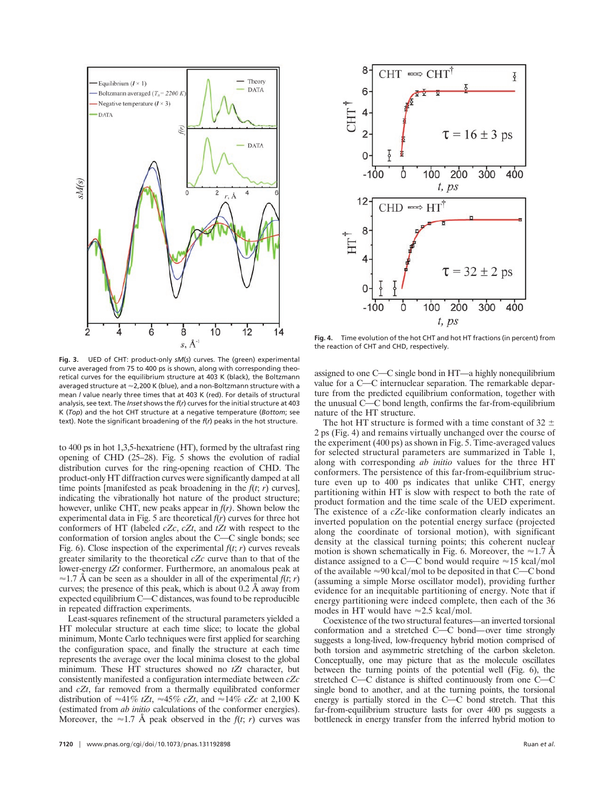



**Fig. 3.** UED of CHT: product-only *sM*(*s*) curves. The (green) experimental curve averaged from 75 to 400 ps is shown, along with corresponding theoretical curves for the equilibrium structure at 403 K (black), the Boltzmann averaged structure at  $\approx$  2,200 K (blue), and a non-Boltzmann structure with a mean *l* value nearly three times that at 403 K (red). For details of structural analysis, see text. The *Inset* shows the *f*(*r*) curves for the initial structure at 403 K (*Top*) and the hot CHT structure at a negative temperature (*Bottom*; see text). Note the significant broadening of the *f*(*r*) peaks in the hot structure.

to 400 ps in hot 1,3,5-hexatriene (HT), formed by the ultrafast ring opening of CHD (25–28). Fig. 5 shows the evolution of radial distribution curves for the ring-opening reaction of CHD. The product-only HT diffraction curves were significantly damped at all time points [manifested as peak broadening in the *f*(*t*; *r*) curves], indicating the vibrationally hot nature of the product structure; however, unlike CHT, new peaks appear in *f*(*r)*. Shown below the experimental data in Fig. 5 are theoretical  $f(r)$  curves for three hot conformers of HT (labeled *cZc*, *cZt*, and *tZt* with respect to the conformation of torsion angles about the  $C-C$  single bonds; see Fig. 6). Close inspection of the experimental  $f(t; r)$  curves reveals greater similarity to the theoretical *cZc* curve than to that of the lower-energy *tZt* conformer. Furthermore, an anomalous peak at  $\approx$  1.7 Å can be seen as a shoulder in all of the experimental  $f(t; r)$ curves; the presence of this peak, which is about 0.2 Å away from expected equilibrium C—C distances, was found to be reproducible in repeated diffraction experiments.

Least-squares refinement of the structural parameters yielded a HT molecular structure at each time slice; to locate the global minimum, Monte Carlo techniques were first applied for searching the configuration space, and finally the structure at each time represents the average over the local minima closest to the global minimum. These HT structures showed no *tZt* character, but consistently manifested a configuration intermediate between *cZc* and *cZt*, far removed from a thermally equilibrated conformer distribution of  $\approx$ 41% *tZt*,  $\approx$ 45% *cZt*, and  $\approx$ 14% *cZc* at 2,100 K (estimated from *ab initio* calculations of the conformer energies). Moreover, the  $\approx$ 1.7 Å peak observed in the *f(t*; *r*) curves was

the reaction of CHT and CHD, respectively.

assigned to one  $C-C$  single bond in  $HT$ —a highly nonequilibrium value for a C—C internuclear separation. The remarkable departure from the predicted equilibrium conformation, together with the unusual C-C bond length, confirms the far-from-equilibrium nature of the HT structure.

The hot HT structure is formed with a time constant of 32  $\pm$ 2 ps (Fig. 4) and remains virtually unchanged over the course of the experiment (400 ps) as shown in Fig. 5. Time-averaged values for selected structural parameters are summarized in Table 1, along with corresponding *ab initio* values for the three HT conformers. The persistence of this far-from-equilibrium structure even up to 400 ps indicates that unlike CHT, energy partitioning within HT is slow with respect to both the rate of product formation and the time scale of the UED experiment. The existence of a *cZc*-like conformation clearly indicates an inverted population on the potential energy surface (projected along the coordinate of torsional motion), with significant density at the classical turning points; this coherent nuclear motion is shown schematically in Fig. 6. Moreover, the  $\approx$ 1.7 Å distance assigned to a C—C bond would require  $\approx$  15 kcal/mol of the available  $\approx 90$  kcal/mol to be deposited in that C—C bond (assuming a simple Morse oscillator model), providing further evidence for an inequitable partitioning of energy. Note that if energy partitioning were indeed complete, then each of the 36 modes in HT would have  $\approx 2.5$  kcal/mol.

Coexistence of the two structural features—an inverted torsional conformation and a stretched  $C-C$  bond—over time strongly suggests a long-lived, low-frequency hybrid motion comprised of both torsion and asymmetric stretching of the carbon skeleton. Conceptually, one may picture that as the molecule oscillates between the turning points of the potential well (Fig. 6), the stretched C $\sim$ C distance is shifted continuously from one C $\sim$ C single bond to another, and at the turning points, the torsional energy is partially stored in the  $C-C$  bond stretch. That this far-from-equilibrium structure lasts for over 400 ps suggests a bottleneck in energy transfer from the inferred hybrid motion to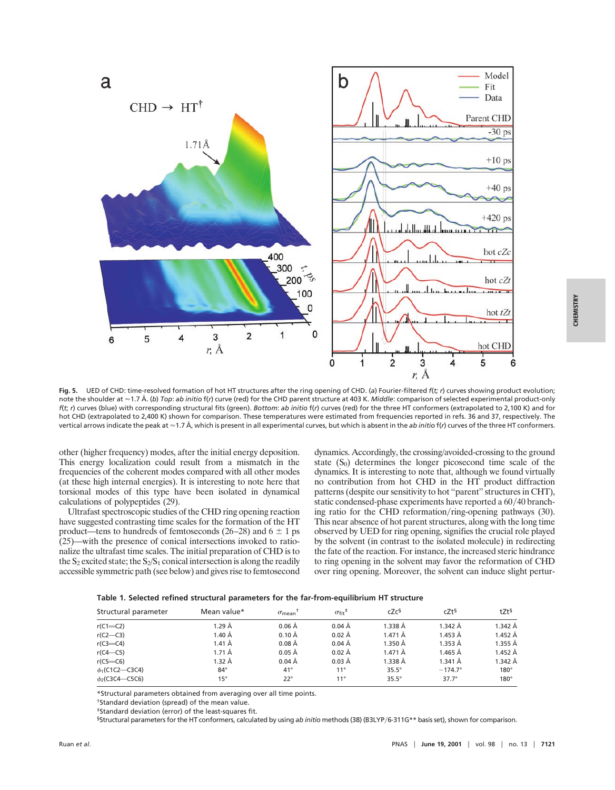

**Fig. 5.** UED of CHD: time-resolved formation of hot HT structures after the ring opening of CHD. (*a*) Fourier-filtered *f*(*t; r*) curves showing product evolution; note the shoulder at '1.7 Å. (*b*) *Top*: *ab initio* f(*r*) curve (red) for the CHD parent structure at 403 K. *Middle*: comparison of selected experimental product-only *f*(*t*; *r*) curves (blue) with corresponding structural fits (green). *Bottom*: *ab initio* f(*r*) curves (red) for the three HT conformers (extrapolated to 2,100 K) and for hot CHD (extrapolated to 2,400 K) shown for comparison. These temperatures were estimated from frequencies reported in refs. 36 and 37, respectively. The vertical arrows indicate the peak at  $\approx$  1.7 Å, which is present in all experimental curves, but which is absent in the *ab initio* f(*r*) curves of the three HT conformers.

other (higher frequency) modes, after the initial energy deposition. This energy localization could result from a mismatch in the frequencies of the coherent modes compared with all other modes (at these high internal energies). It is interesting to note here that torsional modes of this type have been isolated in dynamical calculations of polypeptides (29).

Ultrafast spectroscopic studies of the CHD ring opening reaction have suggested contrasting time scales for the formation of the HT product—tens to hundreds of femtoseconds (26–28) and  $6 \pm 1$  ps (25)—with the presence of conical intersections invoked to rationalize the ultrafast time scales. The initial preparation of CHD is to the  $S_2$  excited state; the  $S_2/S_1$  conical intersection is along the readily accessible symmetric path (see below) and gives rise to femtosecond

dynamics. Accordingly, the crossing/avoided-crossing to the ground state  $(S_0)$  determines the longer picosecond time scale of the dynamics. It is interesting to note that, although we found virtually no contribution from hot CHD in the HT product diffraction patterns (despite our sensitivity to hot ''parent'' structures in CHT), static condensed-phase experiments have reported a  $60/40$  branching ratio for the CHD reformation/ring-opening pathways (30). This near absence of hot parent structures, along with the long time observed by UED for ring opening, signifies the crucial role played by the solvent (in contrast to the isolated molecule) in redirecting the fate of the reaction. For instance, the increased steric hindrance to ring opening in the solvent may favor the reformation of CHD over ring opening. Moreover, the solvent can induce slight pertur-

|  |  |  |  |  |  | Table 1. Selected refined structural parameters for the far-from-equilibrium HT structure |  |
|--|--|--|--|--|--|-------------------------------------------------------------------------------------------|--|
|--|--|--|--|--|--|-------------------------------------------------------------------------------------------|--|

| Structural parameter | Mean value*      | $\sigma$ <sub>mean</sub> | $\sigma$ fit <sup>‡</sup> | cZc <sup>§</sup> | cZt <sub>8</sub> | tZt§        |
|----------------------|------------------|--------------------------|---------------------------|------------------|------------------|-------------|
| $r(C1=C2)$           | 1.29 Å           | $0.06$ $\AA$             | $0.04\,\text{\AA}$        | 1.338 Å          | 1.342 Å          | 1.342 Å     |
| $r(C2-C3)$           | 1.40 Å           | $0.10 \text{ Å}$         | $0.02 \text{ Å}$          | 1.471 Å          | 1.453 Å          | 1.452 Å     |
| $r(C3=CA)$           | 1.41 Å           | $0.08\,\text{\AA}$       | $0.04\,\text{\AA}$        | 1.350 Å          | 1.353 Å          | 1.355 Å     |
| $r(C4-C5)$           | $1.71 \text{ Å}$ | $0.05 \text{ Å}$         | $0.02 \text{ Å}$          | 1.471 Å          | 1.465 Å          | 1.452 Å     |
| $r(C5=CO)$           | 1.32 Å           | $0.04\,\text{\AA}$       | $0.03 \text{ Å}$          | 1.338 Å          | $1.341 \,\AA$    | 1.342 Å     |
| $\phi_1$ (C1C2—C3C4) | $84^\circ$       | $41^{\circ}$             | $11^{\circ}$              | $35.5^\circ$     | $-174.7^{\circ}$ | $180^\circ$ |
| $\phi_2$ (C3C4-C5C6) | $15^{\circ}$     | $22^{\circ}$             | $11^{\circ}$              | $35.5^\circ$     | $37.7^\circ$     | $180^\circ$ |

\*Structural parameters obtained from averaging over all time points.

†Standard deviation (spread) of the mean value.

‡Standard deviation (error) of the least-squares fit.

§Structural parameters for the HT conformers, calculated by using *ab initio* methods (38) (B3LYPy6-311G\*\* basis set), shown for comparison.